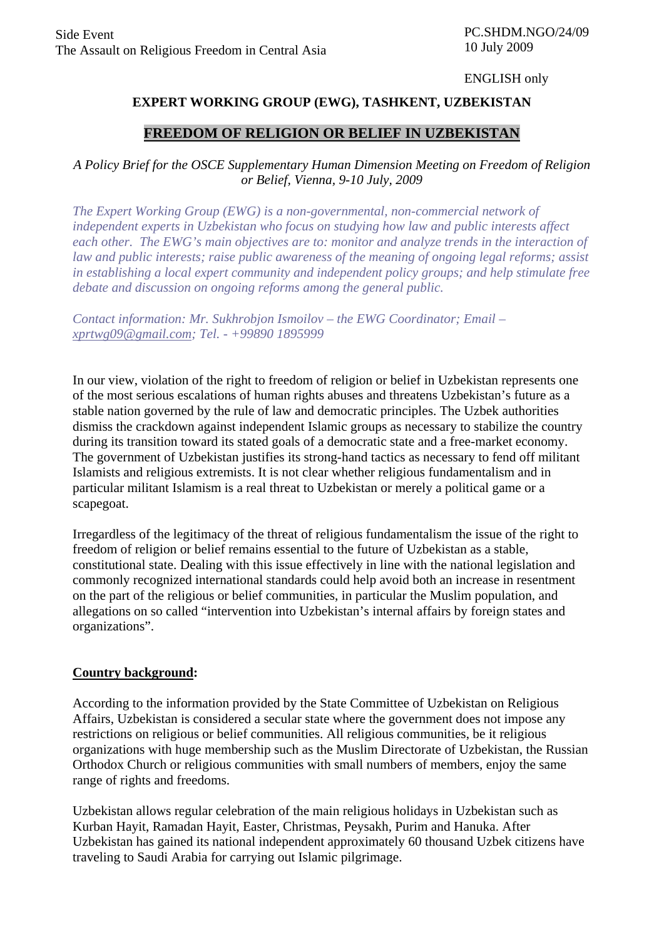#### ENGLISH only

# **EXPERT WORKING GROUP (EWG), TASHKENT, UZBEKISTAN**

# **FREEDOM OF RELIGION OR BELIEF IN UZBEKISTAN**

# *A Policy Brief for the OSCE Supplementary Human Dimension Meeting on Freedom of Religion or Belief, Vienna, 9-10 July, 2009*

*The Expert Working Group (EWG) is a non-governmental, non-commercial network of independent experts in Uzbekistan who focus on studying how law and public interests affect each other. The EWG's main objectives are to: monitor and analyze trends in the interaction of law and public interests; raise public awareness of the meaning of ongoing legal reforms; assist in establishing a local expert community and independent policy groups; and help stimulate free debate and discussion on ongoing reforms among the general public.* 

*Contact information: Mr. Sukhrobjon Ismoilov – the EWG Coordinator; Email – xprtwg09@gmail.com; Tel. - +99890 1895999* 

In our view, violation of the right to freedom of religion or belief in Uzbekistan represents one of the most serious escalations of human rights abuses and threatens Uzbekistan's future as a stable nation governed by the rule of law and democratic principles. The Uzbek authorities dismiss the crackdown against independent Islamic groups as necessary to stabilize the country during its transition toward its stated goals of a democratic state and a free-market economy. The government of Uzbekistan justifies its strong-hand tactics as necessary to fend off militant Islamists and religious extremists. It is not clear whether religious fundamentalism and in particular militant Islamism is a real threat to Uzbekistan or merely a political game or a scapegoat.

Irregardless of the legitimacy of the threat of religious fundamentalism the issue of the right to freedom of religion or belief remains essential to the future of Uzbekistan as a stable, constitutional state. Dealing with this issue effectively in line with the national legislation and commonly recognized international standards could help avoid both an increase in resentment on the part of the religious or belief communities, in particular the Muslim population, and allegations on so called "intervention into Uzbekistan's internal affairs by foreign states and organizations".

# **Country background:**

According to the information provided by the State Committee of Uzbekistan on Religious Affairs, Uzbekistan is considered a secular state where the government does not impose any restrictions on religious or belief communities. All religious communities, be it religious organizations with huge membership such as the Muslim Directorate of Uzbekistan, the Russian Orthodox Church or religious communities with small numbers of members, enjoy the same range of rights and freedoms.

Uzbekistan allows regular celebration of the main religious holidays in Uzbekistan such as Kurban Hayit, Ramadan Hayit, Easter, Christmas, Peysakh, Purim and Hanuka. After Uzbekistan has gained its national independent approximately 60 thousand Uzbek citizens have traveling to Saudi Arabia for carrying out Islamic pilgrimage.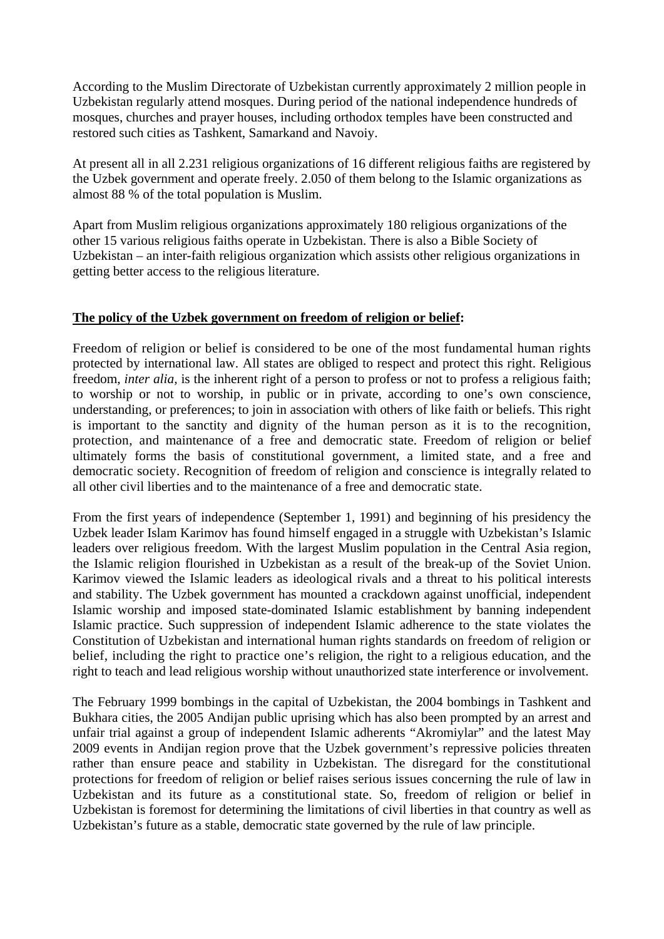According to the Muslim Directorate of Uzbekistan currently approximately 2 million people in Uzbekistan regularly attend mosques. During period of the national independence hundreds of mosques, churches and prayer houses, including orthodox temples have been constructed and restored such cities as Tashkent, Samarkand and Navoiy.

At present all in all 2.231 religious organizations of 16 different religious faiths are registered by the Uzbek government and operate freely. 2.050 of them belong to the Islamic organizations as almost 88 % of the total population is Muslim.

Apart from Muslim religious organizations approximately 180 religious organizations of the other 15 various religious faiths operate in Uzbekistan. There is also a Bible Society of Uzbekistan – an inter-faith religious organization which assists other religious organizations in getting better access to the religious literature.

#### **The policy of the Uzbek government on freedom of religion or belief:**

Freedom of religion or belief is considered to be one of the most fundamental human rights protected by international law. All states are obliged to respect and protect this right. Religious freedom, *inter alia,* is the inherent right of a person to profess or not to profess a religious faith; to worship or not to worship, in public or in private, according to one's own conscience, understanding, or preferences; to join in association with others of like faith or beliefs. This right is important to the sanctity and dignity of the human person as it is to the recognition, protection, and maintenance of a free and democratic state. Freedom of religion or belief ultimately forms the basis of constitutional government, a limited state, and a free and democratic society. Recognition of freedom of religion and conscience is integrally related to all other civil liberties and to the maintenance of a free and democratic state.

From the first years of independence (September 1, 1991) and beginning of his presidency the Uzbek leader Islam Karimov has found himself engaged in a struggle with Uzbekistan's Islamic leaders over religious freedom. With the largest Muslim population in the Central Asia region, the Islamic religion flourished in Uzbekistan as a result of the break-up of the Soviet Union. Karimov viewed the Islamic leaders as ideological rivals and a threat to his political interests and stability. The Uzbek government has mounted a crackdown against unofficial, independent Islamic worship and imposed state-dominated Islamic establishment by banning independent Islamic practice. Such suppression of independent Islamic adherence to the state violates the Constitution of Uzbekistan and international human rights standards on freedom of religion or belief, including the right to practice one's religion, the right to a religious education, and the right to teach and lead religious worship without unauthorized state interference or involvement.

The February 1999 bombings in the capital of Uzbekistan, the 2004 bombings in Tashkent and Bukhara cities, the 2005 Andijan public uprising which has also been prompted by an arrest and unfair trial against a group of independent Islamic adherents "Akromiylar" and the latest May 2009 events in Andijan region prove that the Uzbek government's repressive policies threaten rather than ensure peace and stability in Uzbekistan. The disregard for the constitutional protections for freedom of religion or belief raises serious issues concerning the rule of law in Uzbekistan and its future as a constitutional state. So, freedom of religion or belief in Uzbekistan is foremost for determining the limitations of civil liberties in that country as well as Uzbekistan's future as a stable, democratic state governed by the rule of law principle.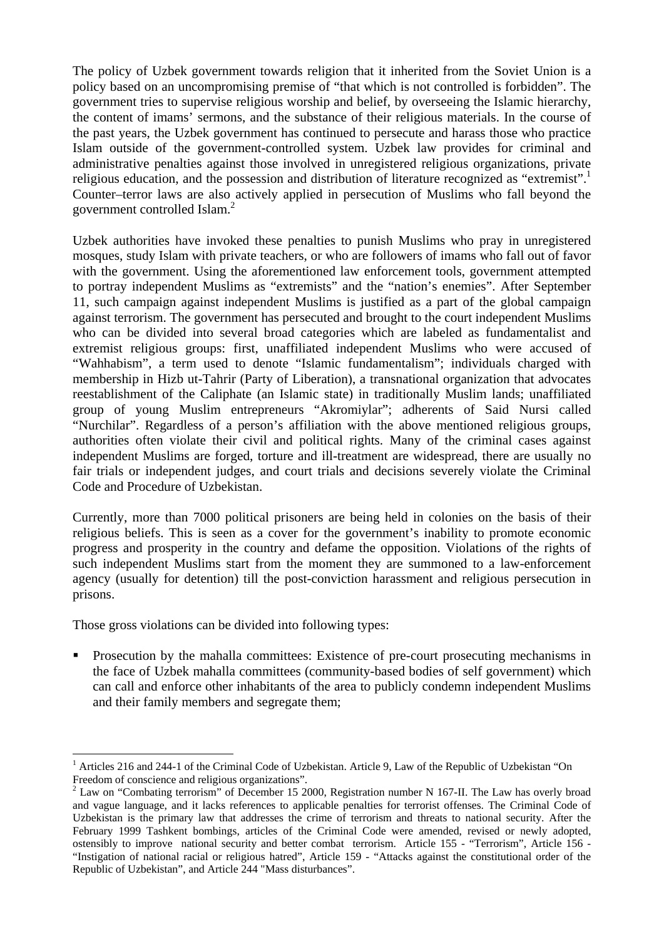The policy of Uzbek government towards religion that it inherited from the Soviet Union is a policy based on an uncompromising premise of "that which is not controlled is forbidden". The government tries to supervise religious worship and belief, by overseeing the Islamic hierarchy, the content of imams' sermons, and the substance of their religious materials. In the course of the past years, the Uzbek government has continued to persecute and harass those who practice Islam outside of the government-controlled system. Uzbek law provides for criminal and administrative penalties against those involved in unregistered religious organizations, private religious education, and the possession and distribution of literature recognized as "extremist". Counter–terror laws are also actively applied in persecution of Muslims who fall beyond the government controlled Islam.<sup>2</sup>

Uzbek authorities have invoked these penalties to punish Muslims who pray in unregistered mosques, study Islam with private teachers, or who are followers of imams who fall out of favor with the government. Using the aforementioned law enforcement tools, government attempted to portray independent Muslims as "extremists" and the "nation's enemies". After September 11, such campaign against independent Muslims is justified as a part of the global campaign against terrorism. The government has persecuted and brought to the court independent Muslims who can be divided into several broad categories which are labeled as fundamentalist and extremist religious groups: first, unaffiliated independent Muslims who were accused of "Wahhabism", a term used to denote "Islamic fundamentalism"; individuals charged with membership in Hizb ut-Tahrir (Party of Liberation), a transnational organization that advocates reestablishment of the Caliphate (an Islamic state) in traditionally Muslim lands; unaffiliated group of young Muslim entrepreneurs "Akromiylar"; adherents of Said Nursi called "Nurchilar". Regardless of a person's affiliation with the above mentioned religious groups, authorities often violate their civil and political rights. Many of the criminal cases against independent Muslims are forged, torture and ill-treatment are widespread, there are usually no fair trials or independent judges, and court trials and decisions severely violate the Criminal Code and Procedure of Uzbekistan.

Currently, more than 7000 political prisoners are being held in colonies on the basis of their religious beliefs. This is seen as a cover for the government's inability to promote economic progress and prosperity in the country and defame the opposition. Violations of the rights of such independent Muslims start from the moment they are summoned to a law-enforcement agency (usually for detention) till the post-conviction harassment and religious persecution in prisons.

Those gross violations can be divided into following types:

**Prosecution by the mahalla committees:** Existence of pre-court prosecuting mechanisms in the face of Uzbek mahalla committees (community-based bodies of self government) which can call and enforce other inhabitants of the area to publicly condemn independent Muslims and their family members and segregate them;

<sup>1</sup> <sup>1</sup> Articles 216 and 244-1 of the Criminal Code of Uzbekistan. Article 9, Law of the Republic of Uzbekistan "On Freedom of conscience and religious organizations".

 $2$  Law on "Combating terrorism" of December 15 2000, Registration number N 167-II. The Law has overly broad and vague language, and it lacks references to applicable penalties for terrorist offenses. The Criminal Code of Uzbekistan is the primary law that addresses the crime of terrorism and threats to national security. After the February 1999 Tashkent bombings, articles of the Criminal Code were amended, revised or newly adopted, ostensibly to improve national security and better combat terrorism. Article 155 - "Terrorism", Article 156 - "Instigation of national racial or religious hatred", Article 159 - "Attacks against the constitutional order of the Republic of Uzbekistan", and Article 244 "Mass disturbances".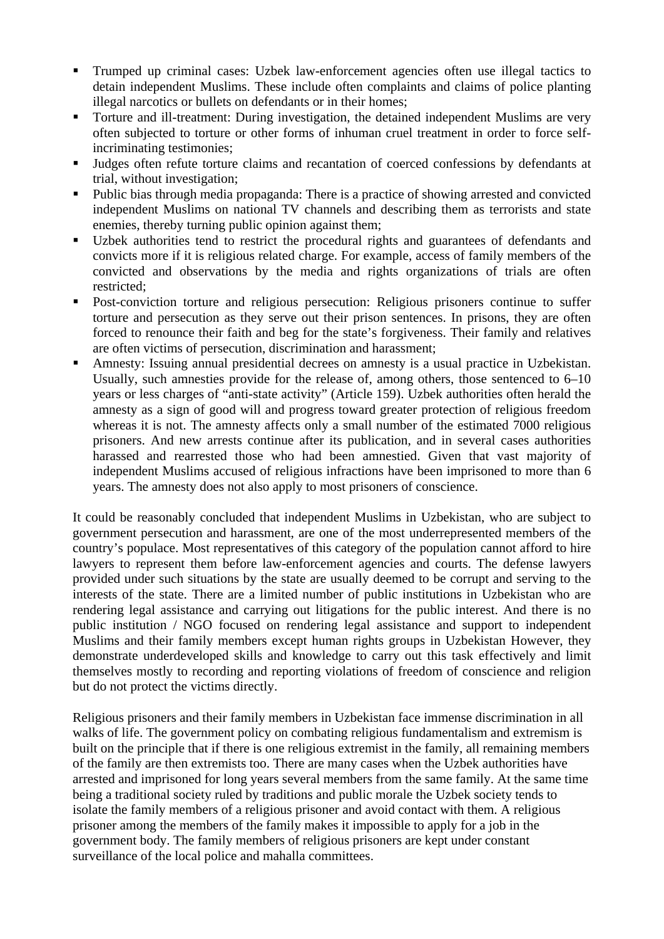- Trumped up criminal cases: Uzbek law-enforcement agencies often use illegal tactics to detain independent Muslims. These include often complaints and claims of police planting illegal narcotics or bullets on defendants or in their homes;
- Torture and ill-treatment: During investigation, the detained independent Muslims are very often subjected to torture or other forms of inhuman cruel treatment in order to force selfincriminating testimonies;
- Judges often refute torture claims and recantation of coerced confessions by defendants at trial, without investigation;
- Public bias through media propaganda: There is a practice of showing arrested and convicted independent Muslims on national TV channels and describing them as terrorists and state enemies, thereby turning public opinion against them;
- Uzbek authorities tend to restrict the procedural rights and guarantees of defendants and convicts more if it is religious related charge. For example, access of family members of the convicted and observations by the media and rights organizations of trials are often restricted;
- Post-conviction torture and religious persecution: Religious prisoners continue to suffer torture and persecution as they serve out their prison sentences. In prisons, they are often forced to renounce their faith and beg for the state's forgiveness. Their family and relatives are often victims of persecution, discrimination and harassment;
- Amnesty: Issuing annual presidential decrees on amnesty is a usual practice in Uzbekistan. Usually, such amnesties provide for the release of, among others, those sentenced to 6–10 years or less charges of "anti-state activity" (Article 159). Uzbek authorities often herald the amnesty as a sign of good will and progress toward greater protection of religious freedom whereas it is not. The amnesty affects only a small number of the estimated 7000 religious prisoners. And new arrests continue after its publication, and in several cases authorities harassed and rearrested those who had been amnestied. Given that vast majority of independent Muslims accused of religious infractions have been imprisoned to more than 6 years. The amnesty does not also apply to most prisoners of conscience.

It could be reasonably concluded that independent Muslims in Uzbekistan, who are subject to government persecution and harassment, are one of the most underrepresented members of the country's populace. Most representatives of this category of the population cannot afford to hire lawyers to represent them before law-enforcement agencies and courts. The defense lawyers provided under such situations by the state are usually deemed to be corrupt and serving to the interests of the state. There are a limited number of public institutions in Uzbekistan who are rendering legal assistance and carrying out litigations for the public interest. And there is no public institution / NGO focused on rendering legal assistance and support to independent Muslims and their family members except human rights groups in Uzbekistan However, they demonstrate underdeveloped skills and knowledge to carry out this task effectively and limit themselves mostly to recording and reporting violations of freedom of conscience and religion but do not protect the victims directly.

Religious prisoners and their family members in Uzbekistan face immense discrimination in all walks of life. The government policy on combating religious fundamentalism and extremism is built on the principle that if there is one religious extremist in the family, all remaining members of the family are then extremists too. There are many cases when the Uzbek authorities have arrested and imprisoned for long years several members from the same family. At the same time being a traditional society ruled by traditions and public morale the Uzbek society tends to isolate the family members of a religious prisoner and avoid contact with them. A religious prisoner among the members of the family makes it impossible to apply for a job in the government body. The family members of religious prisoners are kept under constant surveillance of the local police and mahalla committees.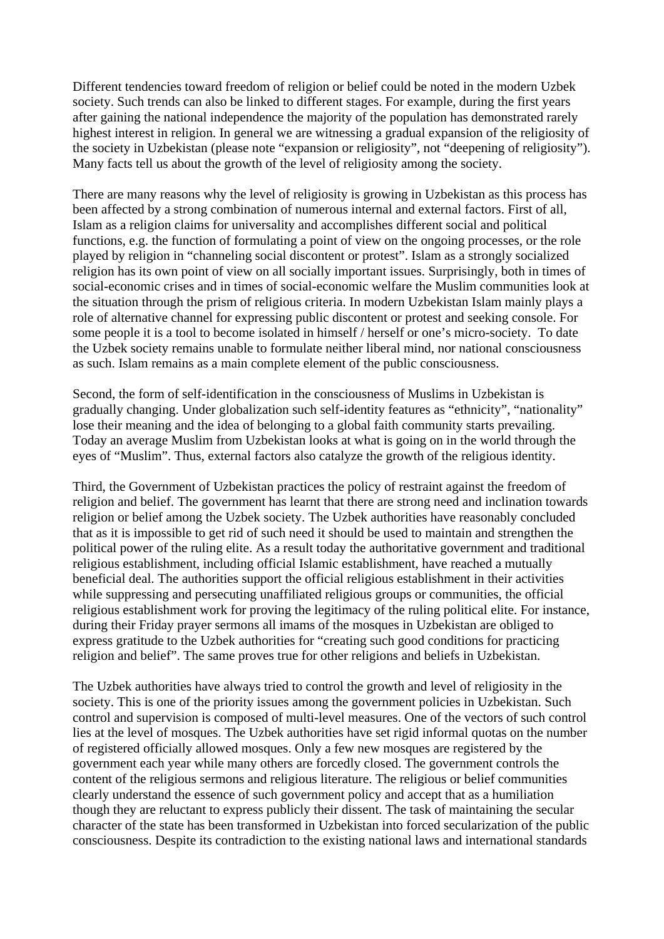Different tendencies toward freedom of religion or belief could be noted in the modern Uzbek society. Such trends can also be linked to different stages. For example, during the first years after gaining the national independence the majority of the population has demonstrated rarely highest interest in religion. In general we are witnessing a gradual expansion of the religiosity of the society in Uzbekistan (please note "expansion or religiosity", not "deepening of religiosity"). Many facts tell us about the growth of the level of religiosity among the society.

There are many reasons why the level of religiosity is growing in Uzbekistan as this process has been affected by a strong combination of numerous internal and external factors. First of all, Islam as a religion claims for universality and accomplishes different social and political functions, e.g. the function of formulating a point of view on the ongoing processes, or the role played by religion in "channeling social discontent or protest". Islam as a strongly socialized religion has its own point of view on all socially important issues. Surprisingly, both in times of social-economic crises and in times of social-economic welfare the Muslim communities look at the situation through the prism of religious criteria. In modern Uzbekistan Islam mainly plays a role of alternative channel for expressing public discontent or protest and seeking console. For some people it is a tool to become isolated in himself / herself or one's micro-society. To date the Uzbek society remains unable to formulate neither liberal mind, nor national consciousness as such. Islam remains as a main complete element of the public consciousness.

Second, the form of self-identification in the consciousness of Muslims in Uzbekistan is gradually changing. Under globalization such self-identity features as "ethnicity", "nationality" lose their meaning and the idea of belonging to a global faith community starts prevailing. Today an average Muslim from Uzbekistan looks at what is going on in the world through the eyes of "Muslim". Thus, external factors also catalyze the growth of the religious identity.

Third, the Government of Uzbekistan practices the policy of restraint against the freedom of religion and belief. The government has learnt that there are strong need and inclination towards religion or belief among the Uzbek society. The Uzbek authorities have reasonably concluded that as it is impossible to get rid of such need it should be used to maintain and strengthen the political power of the ruling elite. As a result today the authoritative government and traditional religious establishment, including official Islamic establishment, have reached a mutually beneficial deal. The authorities support the official religious establishment in their activities while suppressing and persecuting unaffiliated religious groups or communities, the official religious establishment work for proving the legitimacy of the ruling political elite. For instance, during their Friday prayer sermons all imams of the mosques in Uzbekistan are obliged to express gratitude to the Uzbek authorities for "creating such good conditions for practicing religion and belief". The same proves true for other religions and beliefs in Uzbekistan.

The Uzbek authorities have always tried to control the growth and level of religiosity in the society. This is one of the priority issues among the government policies in Uzbekistan. Such control and supervision is composed of multi-level measures. One of the vectors of such control lies at the level of mosques. The Uzbek authorities have set rigid informal quotas on the number of registered officially allowed mosques. Only a few new mosques are registered by the government each year while many others are forcedly closed. The government controls the content of the religious sermons and religious literature. The religious or belief communities clearly understand the essence of such government policy and accept that as a humiliation though they are reluctant to express publicly their dissent. The task of maintaining the secular character of the state has been transformed in Uzbekistan into forced secularization of the public consciousness. Despite its contradiction to the existing national laws and international standards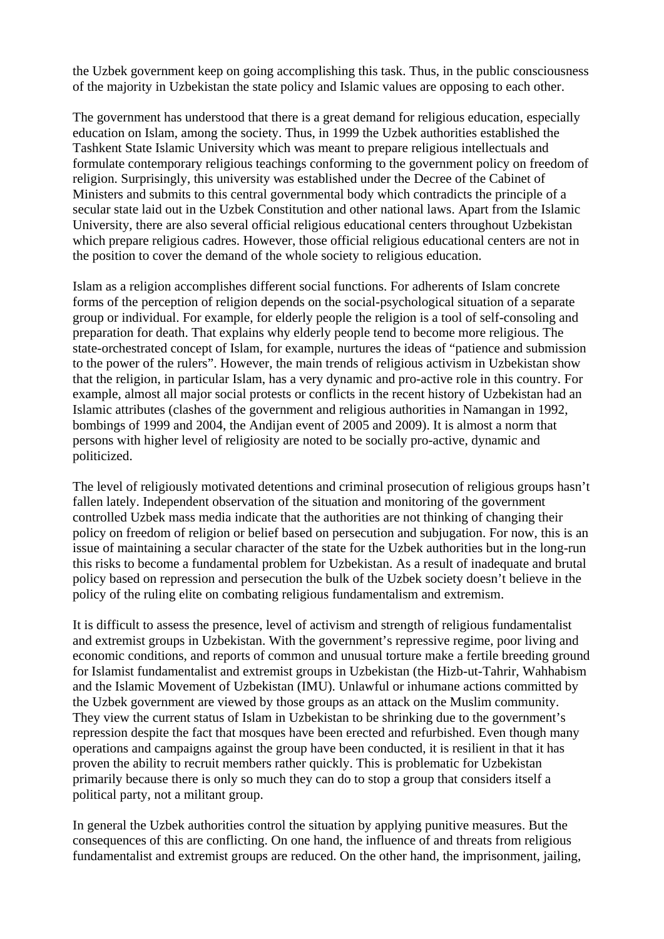the Uzbek government keep on going accomplishing this task. Thus, in the public consciousness of the majority in Uzbekistan the state policy and Islamic values are opposing to each other.

The government has understood that there is a great demand for religious education, especially education on Islam, among the society. Thus, in 1999 the Uzbek authorities established the Tashkent State Islamic University which was meant to prepare religious intellectuals and formulate contemporary religious teachings conforming to the government policy on freedom of religion. Surprisingly, this university was established under the Decree of the Cabinet of Ministers and submits to this central governmental body which contradicts the principle of a secular state laid out in the Uzbek Constitution and other national laws. Apart from the Islamic University, there are also several official religious educational centers throughout Uzbekistan which prepare religious cadres. However, those official religious educational centers are not in the position to cover the demand of the whole society to religious education.

Islam as a religion accomplishes different social functions. For adherents of Islam concrete forms of the perception of religion depends on the social-psychological situation of a separate group or individual. For example, for elderly people the religion is a tool of self-consoling and preparation for death. That explains why elderly people tend to become more religious. The state-orchestrated concept of Islam, for example, nurtures the ideas of "patience and submission to the power of the rulers". However, the main trends of religious activism in Uzbekistan show that the religion, in particular Islam, has a very dynamic and pro-active role in this country. For example, almost all major social protests or conflicts in the recent history of Uzbekistan had an Islamic attributes (clashes of the government and religious authorities in Namangan in 1992, bombings of 1999 and 2004, the Andijan event of 2005 and 2009). It is almost a norm that persons with higher level of religiosity are noted to be socially pro-active, dynamic and politicized.

The level of religiously motivated detentions and criminal prosecution of religious groups hasn't fallen lately. Independent observation of the situation and monitoring of the government controlled Uzbek mass media indicate that the authorities are not thinking of changing their policy on freedom of religion or belief based on persecution and subjugation. For now, this is an issue of maintaining a secular character of the state for the Uzbek authorities but in the long-run this risks to become a fundamental problem for Uzbekistan. As a result of inadequate and brutal policy based on repression and persecution the bulk of the Uzbek society doesn't believe in the policy of the ruling elite on combating religious fundamentalism and extremism.

It is difficult to assess the presence, level of activism and strength of religious fundamentalist and extremist groups in Uzbekistan. With the government's repressive regime, poor living and economic conditions, and reports of common and unusual torture make a fertile breeding ground for Islamist fundamentalist and extremist groups in Uzbekistan (the Hizb-ut-Tahrir, Wahhabism and the Islamic Movement of Uzbekistan (IMU). Unlawful or inhumane actions committed by the Uzbek government are viewed by those groups as an attack on the Muslim community. They view the current status of Islam in Uzbekistan to be shrinking due to the government's repression despite the fact that mosques have been erected and refurbished. Even though many operations and campaigns against the group have been conducted, it is resilient in that it has proven the ability to recruit members rather quickly. This is problematic for Uzbekistan primarily because there is only so much they can do to stop a group that considers itself a political party, not a militant group.

In general the Uzbek authorities control the situation by applying punitive measures. But the consequences of this are conflicting. On one hand, the influence of and threats from religious fundamentalist and extremist groups are reduced. On the other hand, the imprisonment, jailing,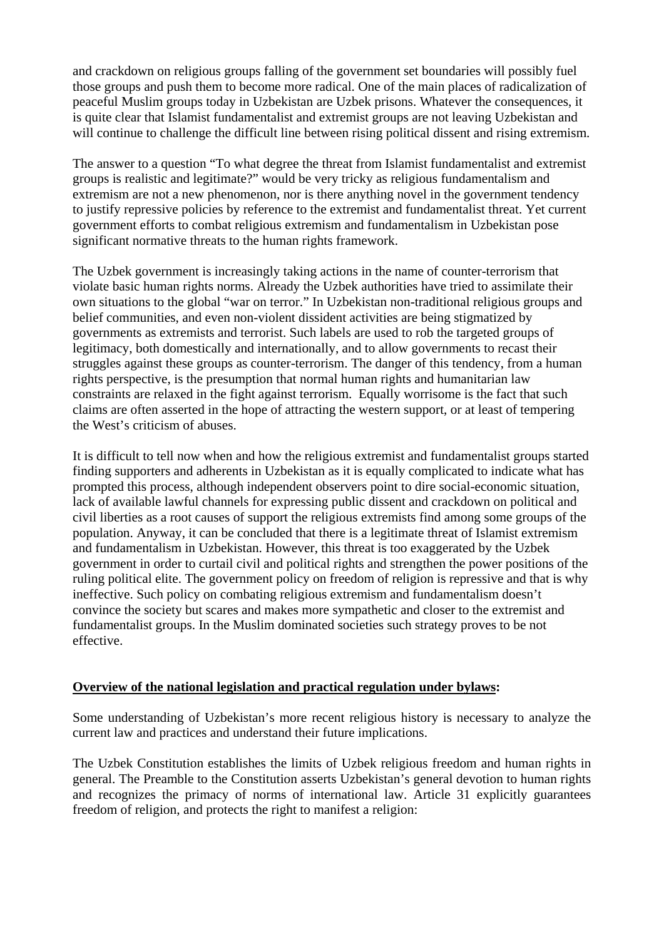and crackdown on religious groups falling of the government set boundaries will possibly fuel those groups and push them to become more radical. One of the main places of radicalization of peaceful Muslim groups today in Uzbekistan are Uzbek prisons. Whatever the consequences, it is quite clear that Islamist fundamentalist and extremist groups are not leaving Uzbekistan and will continue to challenge the difficult line between rising political dissent and rising extremism.

The answer to a question "To what degree the threat from Islamist fundamentalist and extremist groups is realistic and legitimate?" would be very tricky as religious fundamentalism and extremism are not a new phenomenon, nor is there anything novel in the government tendency to justify repressive policies by reference to the extremist and fundamentalist threat. Yet current government efforts to combat religious extremism and fundamentalism in Uzbekistan pose significant normative threats to the human rights framework.

The Uzbek government is increasingly taking actions in the name of counter-terrorism that violate basic human rights norms. Already the Uzbek authorities have tried to assimilate their own situations to the global "war on terror." In Uzbekistan non-traditional religious groups and belief communities, and even non-violent dissident activities are being stigmatized by governments as extremists and terrorist. Such labels are used to rob the targeted groups of legitimacy, both domestically and internationally, and to allow governments to recast their struggles against these groups as counter-terrorism. The danger of this tendency, from a human rights perspective, is the presumption that normal human rights and humanitarian law constraints are relaxed in the fight against terrorism. Equally worrisome is the fact that such claims are often asserted in the hope of attracting the western support, or at least of tempering the West's criticism of abuses.

It is difficult to tell now when and how the religious extremist and fundamentalist groups started finding supporters and adherents in Uzbekistan as it is equally complicated to indicate what has prompted this process, although independent observers point to dire social-economic situation, lack of available lawful channels for expressing public dissent and crackdown on political and civil liberties as a root causes of support the religious extremists find among some groups of the population. Anyway, it can be concluded that there is a legitimate threat of Islamist extremism and fundamentalism in Uzbekistan. However, this threat is too exaggerated by the Uzbek government in order to curtail civil and political rights and strengthen the power positions of the ruling political elite. The government policy on freedom of religion is repressive and that is why ineffective. Such policy on combating religious extremism and fundamentalism doesn't convince the society but scares and makes more sympathetic and closer to the extremist and fundamentalist groups. In the Muslim dominated societies such strategy proves to be not effective.

#### **Overview of the national legislation and practical regulation under bylaws:**

Some understanding of Uzbekistan's more recent religious history is necessary to analyze the current law and practices and understand their future implications.

The Uzbek Constitution establishes the limits of Uzbek religious freedom and human rights in general. The Preamble to the Constitution asserts Uzbekistan's general devotion to human rights and recognizes the primacy of norms of international law. Article 31 explicitly guarantees freedom of religion, and protects the right to manifest a religion: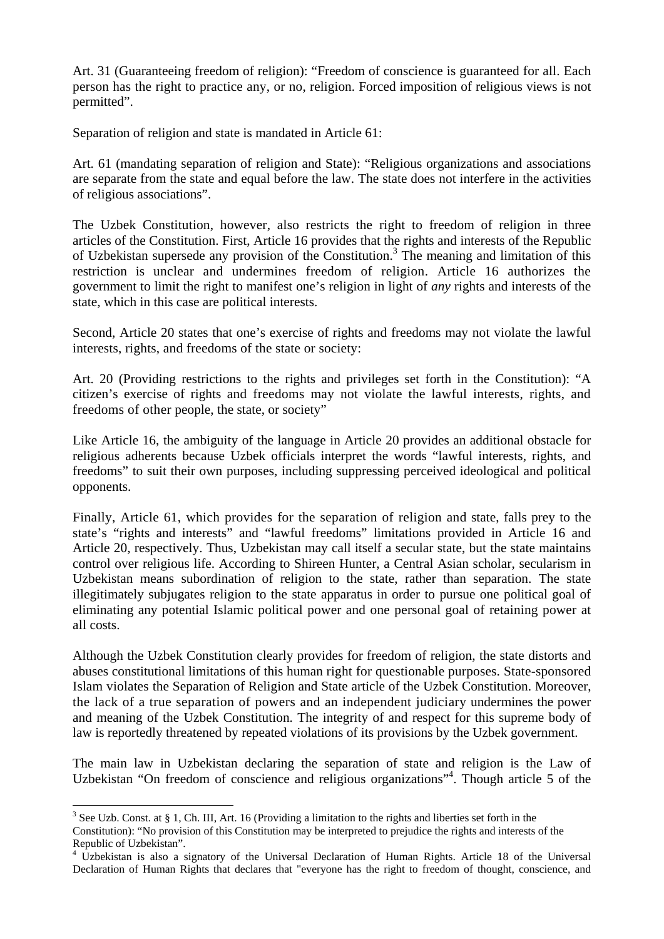Art. 31 (Guaranteeing freedom of religion): "Freedom of conscience is guaranteed for all. Each person has the right to practice any, or no, religion. Forced imposition of religious views is not permitted".

Separation of religion and state is mandated in Article 61:

Art. 61 (mandating separation of religion and State): "Religious organizations and associations are separate from the state and equal before the law. The state does not interfere in the activities of religious associations".

The Uzbek Constitution, however, also restricts the right to freedom of religion in three articles of the Constitution. First, Article 16 provides that the rights and interests of the Republic of Uzbekistan supersede any provision of the Constitution.<sup>3</sup> The meaning and limitation of this restriction is unclear and undermines freedom of religion. Article 16 authorizes the government to limit the right to manifest one's religion in light of *any* rights and interests of the state, which in this case are political interests.

Second, Article 20 states that one's exercise of rights and freedoms may not violate the lawful interests, rights, and freedoms of the state or society:

Art. 20 (Providing restrictions to the rights and privileges set forth in the Constitution): "A citizen's exercise of rights and freedoms may not violate the lawful interests, rights, and freedoms of other people, the state, or society"

Like Article 16, the ambiguity of the language in Article 20 provides an additional obstacle for religious adherents because Uzbek officials interpret the words "lawful interests, rights, and freedoms" to suit their own purposes, including suppressing perceived ideological and political opponents.

Finally, Article 61, which provides for the separation of religion and state, falls prey to the state's "rights and interests" and "lawful freedoms" limitations provided in Article 16 and Article 20, respectively. Thus, Uzbekistan may call itself a secular state, but the state maintains control over religious life. According to Shireen Hunter, a Central Asian scholar, secularism in Uzbekistan means subordination of religion to the state, rather than separation. The state illegitimately subjugates religion to the state apparatus in order to pursue one political goal of eliminating any potential Islamic political power and one personal goal of retaining power at all costs.

Although the Uzbek Constitution clearly provides for freedom of religion, the state distorts and abuses constitutional limitations of this human right for questionable purposes. State-sponsored Islam violates the Separation of Religion and State article of the Uzbek Constitution. Moreover, the lack of a true separation of powers and an independent judiciary undermines the power and meaning of the Uzbek Constitution. The integrity of and respect for this supreme body of law is reportedly threatened by repeated violations of its provisions by the Uzbek government.

The main law in Uzbekistan declaring the separation of state and religion is the Law of Uzbekistan "On freedom of conscience and religious organizations"<sup>4</sup>. Though article 5 of the

1

<sup>&</sup>lt;sup>3</sup> See Uzb. Const. at § 1, Ch. III, Art. 16 (Providing a limitation to the rights and liberties set forth in the Constitution): "No provision of this Constitution may be interpreted to prejudice the rights and interests of the Republic of Uzbekistan".

<sup>&</sup>lt;sup>4</sup> Uzbekistan is also a signatory of the Universal Declaration of Human Rights. Article 18 of the Universal Declaration of Human Rights that declares that "everyone has the right to freedom of thought, conscience, and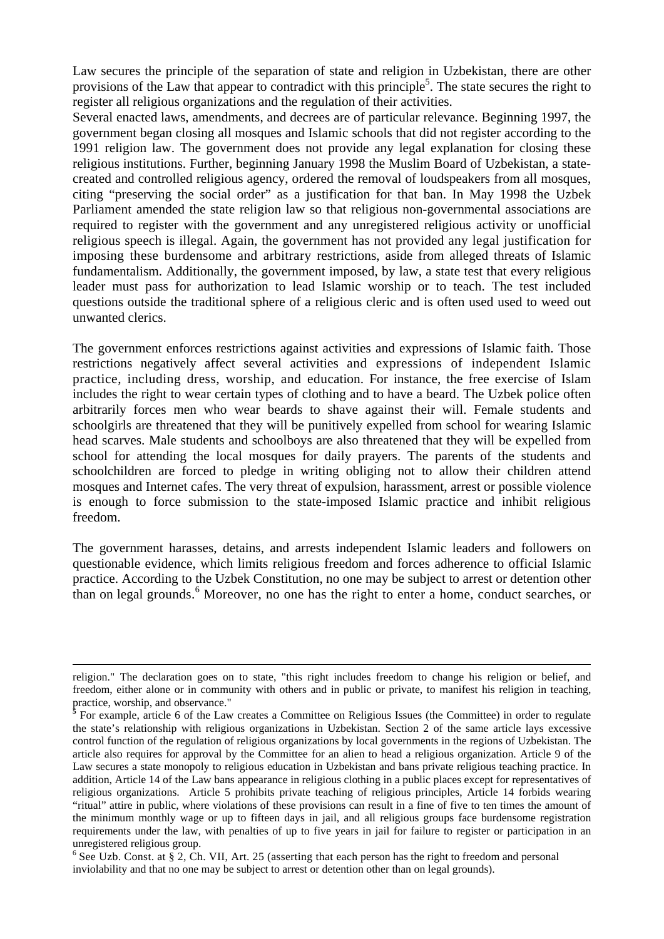Law secures the principle of the separation of state and religion in Uzbekistan, there are other provisions of the Law that appear to contradict with this principle<sup>5</sup>. The state secures the right to register all religious organizations and the regulation of their activities.

Several enacted laws, amendments, and decrees are of particular relevance. Beginning 1997, the government began closing all mosques and Islamic schools that did not register according to the 1991 religion law. The government does not provide any legal explanation for closing these religious institutions. Further, beginning January 1998 the Muslim Board of Uzbekistan, a statecreated and controlled religious agency, ordered the removal of loudspeakers from all mosques, citing "preserving the social order" as a justification for that ban. In May 1998 the Uzbek Parliament amended the state religion law so that religious non-governmental associations are required to register with the government and any unregistered religious activity or unofficial religious speech is illegal. Again, the government has not provided any legal justification for imposing these burdensome and arbitrary restrictions, aside from alleged threats of Islamic fundamentalism. Additionally, the government imposed, by law, a state test that every religious leader must pass for authorization to lead Islamic worship or to teach. The test included questions outside the traditional sphere of a religious cleric and is often used used to weed out unwanted clerics.

The government enforces restrictions against activities and expressions of Islamic faith. Those restrictions negatively affect several activities and expressions of independent Islamic practice, including dress, worship, and education. For instance, the free exercise of Islam includes the right to wear certain types of clothing and to have a beard. The Uzbek police often arbitrarily forces men who wear beards to shave against their will. Female students and schoolgirls are threatened that they will be punitively expelled from school for wearing Islamic head scarves. Male students and schoolboys are also threatened that they will be expelled from school for attending the local mosques for daily prayers. The parents of the students and schoolchildren are forced to pledge in writing obliging not to allow their children attend mosques and Internet cafes. The very threat of expulsion, harassment, arrest or possible violence is enough to force submission to the state-imposed Islamic practice and inhibit religious freedom.

The government harasses, detains, and arrests independent Islamic leaders and followers on questionable evidence, which limits religious freedom and forces adherence to official Islamic practice. According to the Uzbek Constitution, no one may be subject to arrest or detention other than on legal grounds.<sup>6</sup> Moreover, no one has the right to enter a home, conduct searches, or

 $6$  See Uzb. Const. at § 2, Ch. VII, Art. 25 (asserting that each person has the right to freedom and personal inviolability and that no one may be subject to arrest or detention other than on legal grounds).

religion." The declaration goes on to state, "this right includes freedom to change his religion or belief, and freedom, either alone or in community with others and in public or private, to manifest his religion in teaching, practice, worship, and observance."

**<sup>5</sup>** For example, article 6 of the Law creates a Committee on Religious Issues (the Committee) in order to regulate the state's relationship with religious organizations in Uzbekistan. Section 2 of the same article lays excessive control function of the regulation of religious organizations by local governments in the regions of Uzbekistan. The article also requires for approval by the Committee for an alien to head a religious organization. Article 9 of the Law secures a state monopoly to religious education in Uzbekistan and bans private religious teaching practice. In addition, Article 14 of the Law bans appearance in religious clothing in a public places except for representatives of religious organizations. Article 5 prohibits private teaching of religious principles, Article 14 forbids wearing "ritual" attire in public, where violations of these provisions can result in a fine of five to ten times the amount of the minimum monthly wage or up to fifteen days in jail, and all religious groups face burdensome registration requirements under the law, with penalties of up to five years in jail for failure to register or participation in an unregistered religious group.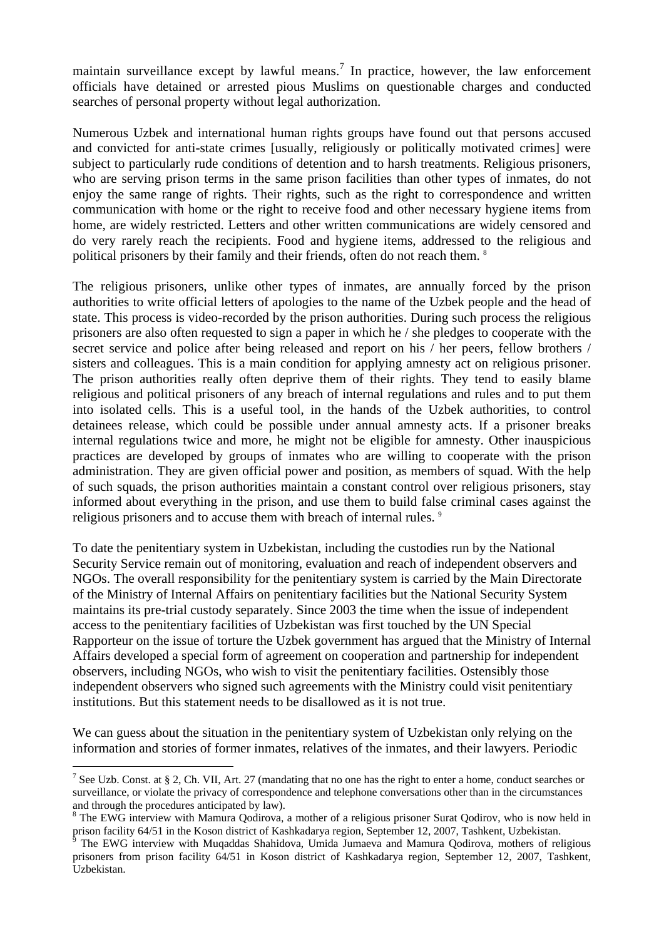maintain surveillance except by lawful means.<sup>7</sup> In practice, however, the law enforcement officials have detained or arrested pious Muslims on questionable charges and conducted searches of personal property without legal authorization.

Numerous Uzbek and international human rights groups have found out that persons accused and convicted for anti-state crimes [usually, religiously or politically motivated crimes] were subject to particularly rude conditions of detention and to harsh treatments. Religious prisoners, who are serving prison terms in the same prison facilities than other types of inmates, do not enjoy the same range of rights. Their rights, such as the right to correspondence and written communication with home or the right to receive food and other necessary hygiene items from home, are widely restricted. Letters and other written communications are widely censored and do very rarely reach the recipients. Food and hygiene items, addressed to the religious and political prisoners by their family and their friends, often do not reach them. <sup>8</sup>

The religious prisoners, unlike other types of inmates, are annually forced by the prison authorities to write official letters of apologies to the name of the Uzbek people and the head of state. This process is video-recorded by the prison authorities. During such process the religious prisoners are also often requested to sign a paper in which he / she pledges to cooperate with the secret service and police after being released and report on his / her peers, fellow brothers / sisters and colleagues. This is a main condition for applying amnesty act on religious prisoner. The prison authorities really often deprive them of their rights. They tend to easily blame religious and political prisoners of any breach of internal regulations and rules and to put them into isolated cells. This is a useful tool, in the hands of the Uzbek authorities, to control detainees release, which could be possible under annual amnesty acts. If a prisoner breaks internal regulations twice and more, he might not be eligible for amnesty. Other inauspicious practices are developed by groups of inmates who are willing to cooperate with the prison administration. They are given official power and position, as members of squad. With the help of such squads, the prison authorities maintain a constant control over religious prisoners, stay informed about everything in the prison, and use them to build false criminal cases against the religious prisoners and to accuse them with breach of internal rules.<sup>9</sup>

To date the penitentiary system in Uzbekistan, including the custodies run by the National Security Service remain out of monitoring, evaluation and reach of independent observers and NGOs. The overall responsibility for the penitentiary system is carried by the Main Directorate of the Ministry of Internal Affairs on penitentiary facilities but the National Security System maintains its pre-trial custody separately. Since 2003 the time when the issue of independent access to the penitentiary facilities of Uzbekistan was first touched by the UN Special Rapporteur on the issue of torture the Uzbek government has argued that the Ministry of Internal Affairs developed a special form of agreement on cooperation and partnership for independent observers, including NGOs, who wish to visit the penitentiary facilities. Ostensibly those independent observers who signed such agreements with the Ministry could visit penitentiary institutions. But this statement needs to be disallowed as it is not true.

We can guess about the situation in the penitentiary system of Uzbekistan only relying on the information and stories of former inmates, relatives of the inmates, and their lawyers. Periodic

1

<sup>&</sup>lt;sup>7</sup> See Uzb. Const. at § 2, Ch. VII, Art. 27 (mandating that no one has the right to enter a home, conduct searches or surveillance, or violate the privacy of correspondence and telephone conversations other than in the circumstances and through the procedures anticipated by law).

<sup>&</sup>lt;sup>8</sup> The EWG interview with Mamura Qodirova, a mother of a religious prisoner Surat Qodirov, who is now held in prison facility 64/51 in the Koson district of Kashkadarya region, September 12, 2007, Tashkent, Uzbekistan.

<sup>9</sup> The EWG interview with Muqaddas Shahidova, Umida Jumaeva and Mamura Qodirova, mothers of religious prisoners from prison facility 64/51 in Koson district of Kashkadarya region, September 12, 2007, Tashkent, Uzbekistan.